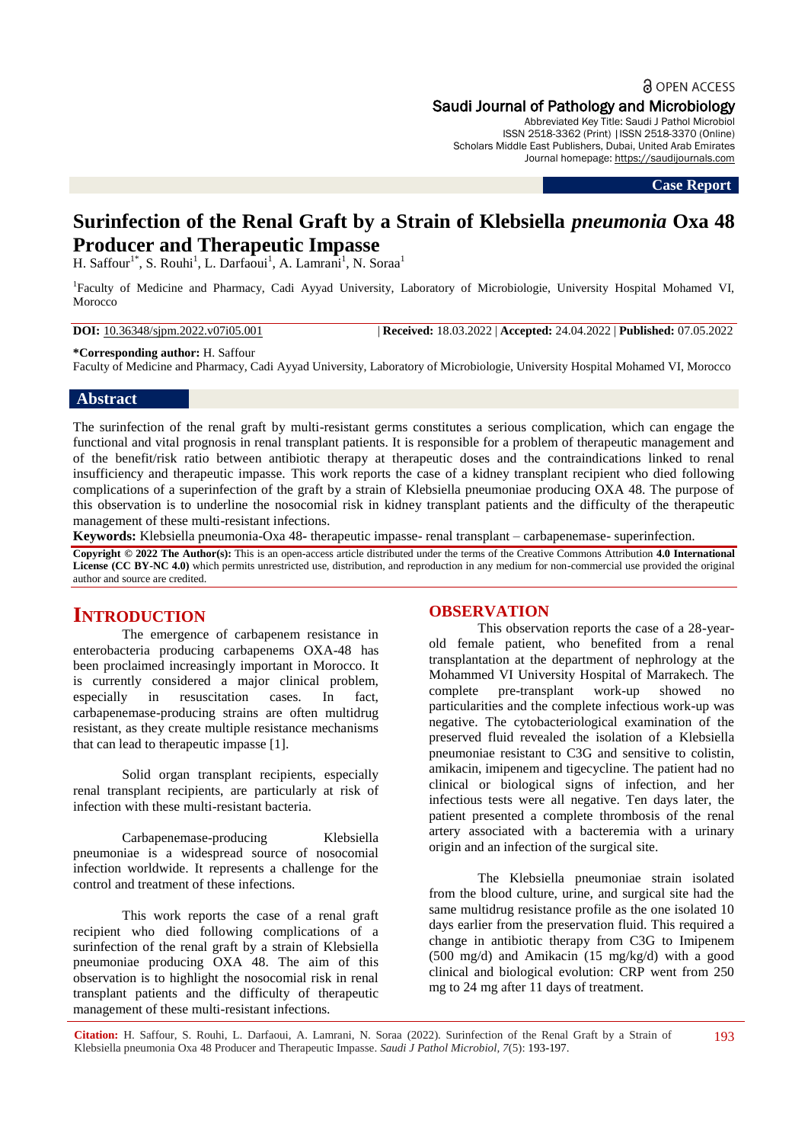a OPEN ACCESS

### Saudi Journal of Pathology and Microbiology

Abbreviated Key Title: Saudi J Pathol Microbiol ISSN 2518-3362 (Print) |ISSN 2518-3370 (Online) Scholars Middle East Publishers, Dubai, United Arab Emirates Journal homepage: [https://saudijournals.com](https://saudijournals.com/sjpm)

**Case Report**

# **Surinfection of the Renal Graft by a Strain of Klebsiella** *pneumonia* **Oxa 48 Producer and Therapeutic Impasse**

H. Saffour<sup>1\*</sup>, S. Rouhi<sup>1</sup>, L. Darfaoui<sup>1</sup>, A. Lamrani<sup>1</sup>, N. Soraa<sup>1</sup>

1 Faculty of Medicine and Pharmacy, Cadi Ayyad University, Laboratory of Microbiologie, University Hospital Mohamed VI, Morocco

### **DOI:** 10.36348/sjpm.2022.v07i05.001 | **Received:** 18.03.2022 | **Accepted:** 24.04.2022 | **Published:** 07.05.2022

**\*Corresponding author:** H. Saffour

Faculty of Medicine and Pharmacy, Cadi Ayyad University, Laboratory of Microbiologie, University Hospital Mohamed VI, Morocco

#### **Abstract**

The surinfection of the renal graft by multi-resistant germs constitutes a serious complication, which can engage the functional and vital prognosis in renal transplant patients. It is responsible for a problem of therapeutic management and of the benefit/risk ratio between antibiotic therapy at therapeutic doses and the contraindications linked to renal insufficiency and therapeutic impasse. This work reports the case of a kidney transplant recipient who died following complications of a superinfection of the graft by a strain of Klebsiella pneumoniae producing OXA 48. The purpose of this observation is to underline the nosocomial risk in kidney transplant patients and the difficulty of the therapeutic management of these multi-resistant infections.

**Keywords:** Klebsiella pneumonia-Oxa 48**-** therapeutic impasse- renal transplant – carbapenemase- superinfection.

**Copyright © 2022 The Author(s):** This is an open-access article distributed under the terms of the Creative Commons Attribution **4.0 International License (CC BY-NC 4.0)** which permits unrestricted use, distribution, and reproduction in any medium for non-commercial use provided the original author and source are credited.

## **INTRODUCTION**

The emergence of carbapenem resistance in enterobacteria producing carbapenems OXA-48 has been proclaimed increasingly important in Morocco. It is currently considered a major clinical problem, especially in resuscitation cases. In fact, carbapenemase-producing strains are often multidrug resistant, as they create multiple resistance mechanisms that can lead to therapeutic impasse [1].

Solid organ transplant recipients, especially renal transplant recipients, are particularly at risk of infection with these multi-resistant bacteria.

Carbapenemase-producing Klebsiella pneumoniae is a widespread source of nosocomial infection worldwide. It represents a challenge for the control and treatment of these infections.

This work reports the case of a renal graft recipient who died following complications of a surinfection of the renal graft by a strain of Klebsiella pneumoniae producing OXA 48. The aim of this observation is to highlight the nosocomial risk in renal transplant patients and the difficulty of therapeutic management of these multi-resistant infections.

### **OBSERVATION**

This observation reports the case of a 28-yearold female patient, who benefited from a renal transplantation at the department of nephrology at the Mohammed VI University Hospital of Marrakech. The complete pre-transplant work-up showed no particularities and the complete infectious work-up was negative. The cytobacteriological examination of the preserved fluid revealed the isolation of a Klebsiella pneumoniae resistant to C3G and sensitive to colistin, amikacin, imipenem and tigecycline. The patient had no clinical or biological signs of infection, and her infectious tests were all negative. Ten days later, the patient presented a complete thrombosis of the renal artery associated with a bacteremia with a urinary origin and an infection of the surgical site.

The Klebsiella pneumoniae strain isolated from the blood culture, urine, and surgical site had the same multidrug resistance profile as the one isolated 10 days earlier from the preservation fluid. This required a change in antibiotic therapy from C3G to Imipenem (500 mg/d) and Amikacin (15 mg/kg/d) with a good clinical and biological evolution: CRP went from 250 mg to 24 mg after 11 days of treatment.

**Citation:** H. Saffour, S. Rouhi, L. Darfaoui, A. Lamrani, N. Soraa (2022). Surinfection of the Renal Graft by a Strain of Klebsiella pneumonia Oxa 48 Producer and Therapeutic Impasse. *Saudi J Pathol Microbiol, 7*(5): 193-197.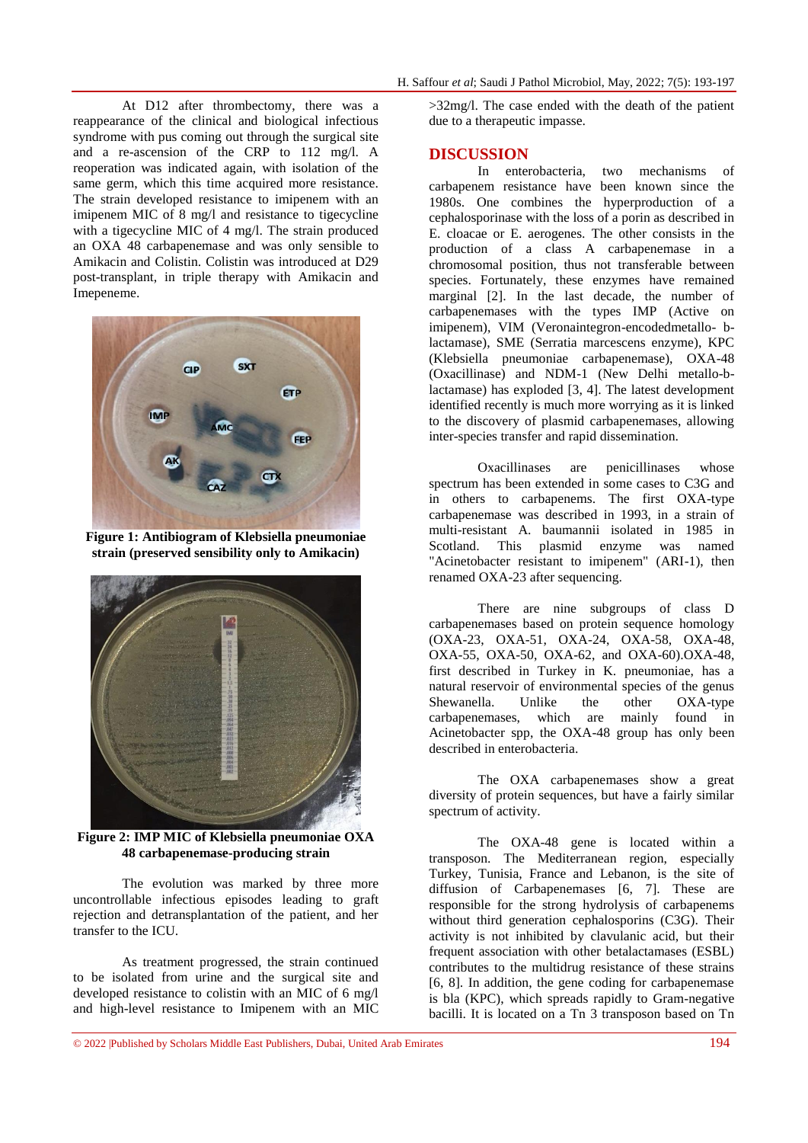At D12 after thrombectomy, there was a reappearance of the clinical and biological infectious syndrome with pus coming out through the surgical site and a re-ascension of the CRP to 112 mg/l. A reoperation was indicated again, with isolation of the same germ, which this time acquired more resistance. The strain developed resistance to imipenem with an imipenem MIC of 8 mg/l and resistance to tigecycline with a tigecycline MIC of 4 mg/l. The strain produced an OXA 48 carbapenemase and was only sensible to Amikacin and Colistin. Colistin was introduced at D29 post-transplant, in triple therapy with Amikacin and Imepeneme.



**Figure 1: Antibiogram of Klebsiella pneumoniae strain (preserved sensibility only to Amikacin)**



**Figure 2: IMP MIC of Klebsiella pneumoniae OXA 48 carbapenemase-producing strain**

The evolution was marked by three more uncontrollable infectious episodes leading to graft rejection and detransplantation of the patient, and her transfer to the ICU.

As treatment progressed, the strain continued to be isolated from urine and the surgical site and developed resistance to colistin with an MIC of 6 mg/l and high-level resistance to Imipenem with an MIC

>32mg/l. The case ended with the death of the patient due to a therapeutic impasse.

### **DISCUSSION**

In enterobacteria, two mechanisms of carbapenem resistance have been known since the 1980s. One combines the hyperproduction of a cephalosporinase with the loss of a porin as described in E. cloacae or E. aerogenes. The other consists in the production of a class A carbapenemase in a chromosomal position, thus not transferable between species. Fortunately, these enzymes have remained marginal [2]. In the last decade, the number of carbapenemases with the types IMP (Active on imipenem), VIM (Veronaintegron-encodedmetallo- blactamase), SME (Serratia marcescens enzyme), KPC (Klebsiella pneumoniae carbapenemase), OXA-48 (Oxacillinase) and NDM-1 (New Delhi metallo-blactamase) has exploded [3, 4]. The latest development identified recently is much more worrying as it is linked to the discovery of plasmid carbapenemases, allowing inter-species transfer and rapid dissemination.

Oxacillinases are penicillinases whose spectrum has been extended in some cases to C3G and in others to carbapenems. The first OXA-type carbapenemase was described in 1993, in a strain of multi-resistant A. baumannii isolated in 1985 in Scotland. This plasmid enzyme was named "Acinetobacter resistant to imipenem" (ARI-1), then renamed OXA-23 after sequencing.

There are nine subgroups of class D carbapenemases based on protein sequence homology (OXA-23, OXA-51, OXA-24, OXA-58, OXA-48, OXA-55, OXA-50, OXA-62, and OXA-60).OXA-48, first described in Turkey in K. pneumoniae, has a natural reservoir of environmental species of the genus Shewanella. Unlike the other OXA-type carbapenemases, which are mainly found in Acinetobacter spp, the OXA-48 group has only been described in enterobacteria.

The OXA carbapenemases show a great diversity of protein sequences, but have a fairly similar spectrum of activity.

The OXA-48 gene is located within a transposon. The Mediterranean region, especially Turkey, Tunisia, France and Lebanon, is the site of diffusion of Carbapenemases [6, 7]. These are responsible for the strong hydrolysis of carbapenems without third generation cephalosporins (C3G). Their activity is not inhibited by clavulanic acid, but their frequent association with other betalactamases (ESBL) contributes to the multidrug resistance of these strains [6, 8]. In addition, the gene coding for carbapenemase is bla (KPC), which spreads rapidly to Gram-negative bacilli. It is located on a Tn 3 transposon based on Tn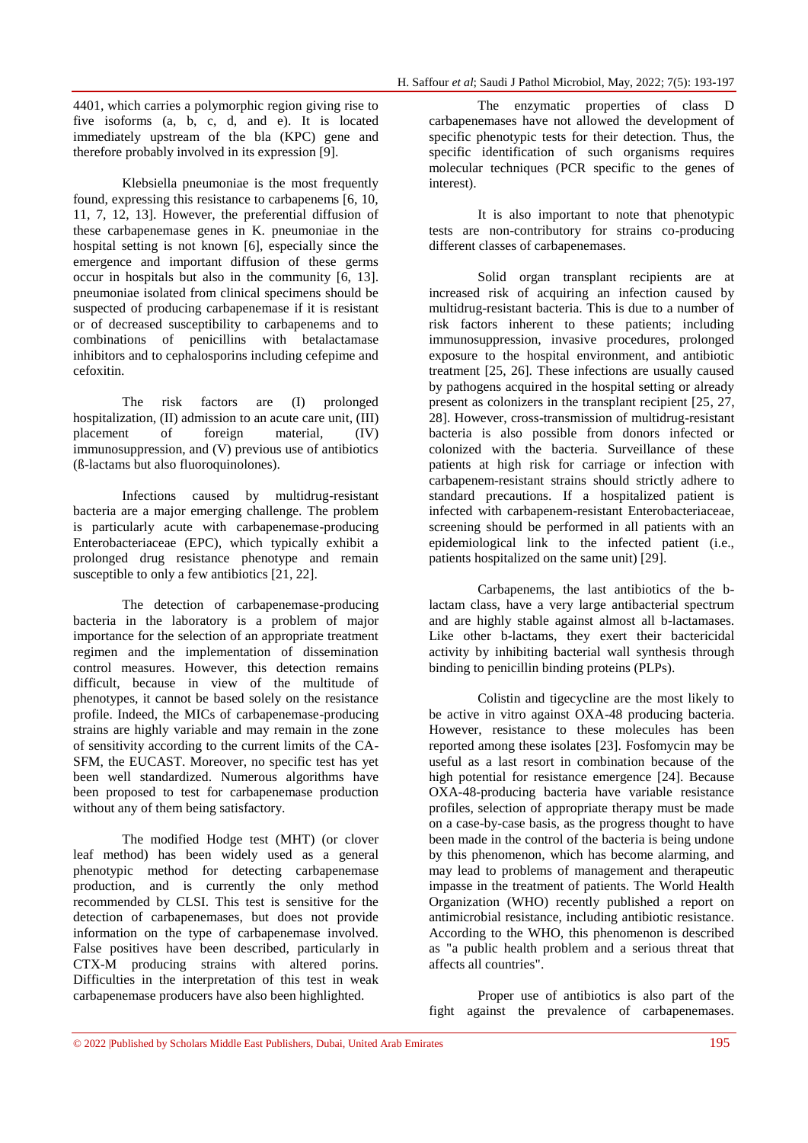4401, which carries a polymorphic region giving rise to five isoforms (a, b, c, d, and e). It is located immediately upstream of the bla (KPC) gene and therefore probably involved in its expression [9].

Klebsiella pneumoniae is the most frequently found, expressing this resistance to carbapenems [6, 10, 11, 7, 12, 13]. However, the preferential diffusion of these carbapenemase genes in K. pneumoniae in the hospital setting is not known [6], especially since the emergence and important diffusion of these germs occur in hospitals but also in the community [6, 13]. pneumoniae isolated from clinical specimens should be suspected of producing carbapenemase if it is resistant or of decreased susceptibility to carbapenems and to combinations of penicillins with betalactamase inhibitors and to cephalosporins including cefepime and cefoxitin.

The risk factors are (I) prolonged hospitalization, (II) admission to an acute care unit, (III) placement of foreign material, (IV) immunosuppression, and (V) previous use of antibiotics (ß-lactams but also fluoroquinolones).

Infections caused by multidrug-resistant bacteria are a major emerging challenge. The problem is particularly acute with carbapenemase-producing Enterobacteriaceae (EPC), which typically exhibit a prolonged drug resistance phenotype and remain susceptible to only a few antibiotics [21, 22].

The detection of carbapenemase-producing bacteria in the laboratory is a problem of major importance for the selection of an appropriate treatment regimen and the implementation of dissemination control measures. However, this detection remains difficult, because in view of the multitude of phenotypes, it cannot be based solely on the resistance profile. Indeed, the MICs of carbapenemase-producing strains are highly variable and may remain in the zone of sensitivity according to the current limits of the CA-SFM, the EUCAST. Moreover, no specific test has yet been well standardized. Numerous algorithms have been proposed to test for carbapenemase production without any of them being satisfactory.

The modified Hodge test (MHT) (or clover leaf method) has been widely used as a general phenotypic method for detecting carbapenemase production, and is currently the only method recommended by CLSI. This test is sensitive for the detection of carbapenemases, but does not provide information on the type of carbapenemase involved. False positives have been described, particularly in CTX-M producing strains with altered porins. Difficulties in the interpretation of this test in weak carbapenemase producers have also been highlighted.

The enzymatic properties of class D carbapenemases have not allowed the development of specific phenotypic tests for their detection. Thus, the specific identification of such organisms requires molecular techniques (PCR specific to the genes of interest).

It is also important to note that phenotypic tests are non-contributory for strains co-producing different classes of carbapenemases.

Solid organ transplant recipients are at increased risk of acquiring an infection caused by multidrug-resistant bacteria. This is due to a number of risk factors inherent to these patients; including immunosuppression, invasive procedures, prolonged exposure to the hospital environment, and antibiotic treatment [25, 26]. These infections are usually caused by pathogens acquired in the hospital setting or already present as colonizers in the transplant recipient [25, 27, 28]. However, cross-transmission of multidrug-resistant bacteria is also possible from donors infected or colonized with the bacteria. Surveillance of these patients at high risk for carriage or infection with carbapenem-resistant strains should strictly adhere to standard precautions. If a hospitalized patient is infected with carbapenem-resistant Enterobacteriaceae, screening should be performed in all patients with an epidemiological link to the infected patient (i.e., patients hospitalized on the same unit) [29].

Carbapenems, the last antibiotics of the blactam class, have a very large antibacterial spectrum and are highly stable against almost all b-lactamases. Like other b-lactams, they exert their bactericidal activity by inhibiting bacterial wall synthesis through binding to penicillin binding proteins (PLPs).

Colistin and tigecycline are the most likely to be active in vitro against OXA-48 producing bacteria. However, resistance to these molecules has been reported among these isolates [23]. Fosfomycin may be useful as a last resort in combination because of the high potential for resistance emergence [24]. Because OXA-48-producing bacteria have variable resistance profiles, selection of appropriate therapy must be made on a case-by-case basis, as the progress thought to have been made in the control of the bacteria is being undone by this phenomenon, which has become alarming, and may lead to problems of management and therapeutic impasse in the treatment of patients. The World Health Organization (WHO) recently published a report on antimicrobial resistance, including antibiotic resistance. According to the WHO, this phenomenon is described as "a public health problem and a serious threat that affects all countries".

Proper use of antibiotics is also part of the fight against the prevalence of carbapenemases.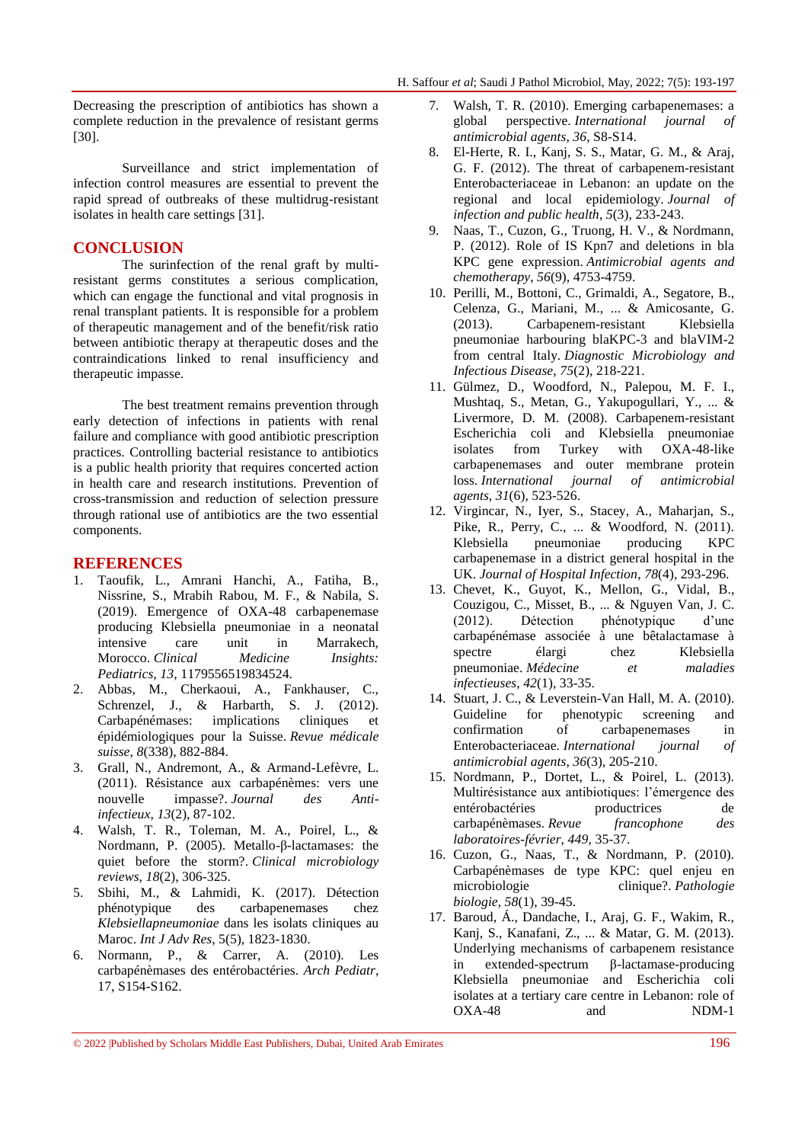Decreasing the prescription of antibiotics has shown a complete reduction in the prevalence of resistant germs [30].

Surveillance and strict implementation of infection control measures are essential to prevent the rapid spread of outbreaks of these multidrug-resistant isolates in health care settings [31].

### **CONCLUSION**

The surinfection of the renal graft by multiresistant germs constitutes a serious complication, which can engage the functional and vital prognosis in renal transplant patients. It is responsible for a problem of therapeutic management and of the benefit/risk ratio between antibiotic therapy at therapeutic doses and the contraindications linked to renal insufficiency and therapeutic impasse.

The best treatment remains prevention through early detection of infections in patients with renal failure and compliance with good antibiotic prescription practices. Controlling bacterial resistance to antibiotics is a public health priority that requires concerted action in health care and research institutions. Prevention of cross-transmission and reduction of selection pressure through rational use of antibiotics are the two essential components.

### **REFERENCES**

- 1. Taoufik, L., Amrani Hanchi, A., Fatiha, B., Nissrine, S., Mrabih Rabou, M. F., & Nabila, S. (2019). Emergence of OXA-48 carbapenemase producing Klebsiella pneumoniae in a neonatal intensive care unit in Marrakech, Morocco. *Clinical Medicine Insights: Pediatrics*, *13*, 1179556519834524.
- 2. Abbas, M., Cherkaoui, A., Fankhauser, C., Schrenzel, J., & Harbarth, S. J. (2012). Carbapénémases: implications cliniques et épidémiologiques pour la Suisse. *Revue médicale suisse*, *8*(338), 882-884.
- 3. Grall, N., Andremont, A., & Armand-Lefèvre, L. (2011). Résistance aux carbapénèmes: vers une nouvelle impasse?. *Journal des Antiinfectieux*, *13*(2), 87-102.
- 4. Walsh, T. R., Toleman, M. A., Poirel, L., & Nordmann, P. (2005). Metallo-β-lactamases: the quiet before the storm?. *Clinical microbiology reviews*, *18*(2), 306-325.
- 5. Sbihi, M., & Lahmidi, K. (2017). Détection phénotypique des carbapenemases chez *Klebsiellapneumoniae* dans les isolats cliniques au Maroc. *Int J Adv Res*, 5(5), 1823-1830.
- 6. Normann, P., & Carrer, A. (2010). Les carbapénèmases des entérobactéries. *Arch Pediatr*, 17, S154-S162.
- 7. Walsh, T. R. (2010). Emerging carbapenemases: a global perspective. *International journal of antimicrobial agents*, *36*, S8-S14.
- 8. El-Herte, R. I., Kanj, S. S., Matar, G. M., & Araj, G. F. (2012). The threat of carbapenem-resistant Enterobacteriaceae in Lebanon: an update on the regional and local epidemiology. *Journal of infection and public health*, *5*(3), 233-243.
- 9. Naas, T., Cuzon, G., Truong, H. V., & Nordmann, P. (2012). Role of IS Kpn7 and deletions in bla KPC gene expression. *Antimicrobial agents and chemotherapy*, *56*(9), 4753-4759.
- 10. Perilli, M., Bottoni, C., Grimaldi, A., Segatore, B., Celenza, G., Mariani, M., ... & Amicosante, G. (2013). Carbapenem-resistant Klebsiella pneumoniae harbouring blaKPC-3 and blaVIM-2 from central Italy. *Diagnostic Microbiology and Infectious Disease*, *75*(2), 218-221.
- 11. Gülmez, D., Woodford, N., Palepou, M. F. I., Mushtaq, S., Metan, G., Yakupogullari, Y., ... & Livermore, D. M. (2008). Carbapenem-resistant Escherichia coli and Klebsiella pneumoniae isolates from Turkey with OXA-48-like carbapenemases and outer membrane protein loss. *International journal of antimicrobial agents*, *31*(6), 523-526.
- 12. Virgincar, N., Iyer, S., Stacey, A., Maharjan, S., Pike, R., Perry, C., ... & Woodford, N. (2011). Klebsiella pneumoniae producing KPC carbapenemase in a district general hospital in the UK. *Journal of Hospital Infection*, *78*(4), 293-296.
- 13. Chevet, K., Guyot, K., Mellon, G., Vidal, B., Couzigou, C., Misset, B., ... & Nguyen Van, J. C. (2012). Détection phénotypique d'une carbapénémase associée à une bêtalactamase à spectre élargi chez Klebsiella pneumoniae. *Médecine et maladies infectieuses*, *42*(1), 33-35.
- 14. Stuart, J. C., & Leverstein-Van Hall, M. A. (2010). Guideline for phenotypic screening and confirmation of carbapenemases in Enterobacteriaceae. *International journal of antimicrobial agents*, *36*(3), 205-210.
- 15. Nordmann, P., Dortet, L., & Poirel, L. (2013). Multirésistance aux antibiotiques: l'émergence des entérobactéries productrices de carbapénèmases. *Revue francophone des laboratoires-février*, *449*, 35-37.
- 16. Cuzon, G., Naas, T., & Nordmann, P. (2010). Carbapénèmases de type KPC: quel enjeu en microbiologie clinique?. *Pathologie biologie*, *58*(1), 39-45.
- 17. Baroud, Á., Dandache, I., Araj, G. F., Wakim, R., Kanj, S., Kanafani, Z., ... & Matar, G. M. (2013). Underlying mechanisms of carbapenem resistance in extended-spectrum β-lactamase-producing Klebsiella pneumoniae and Escherichia coli isolates at a tertiary care centre in Lebanon: role of OXA-48 and NDM-1